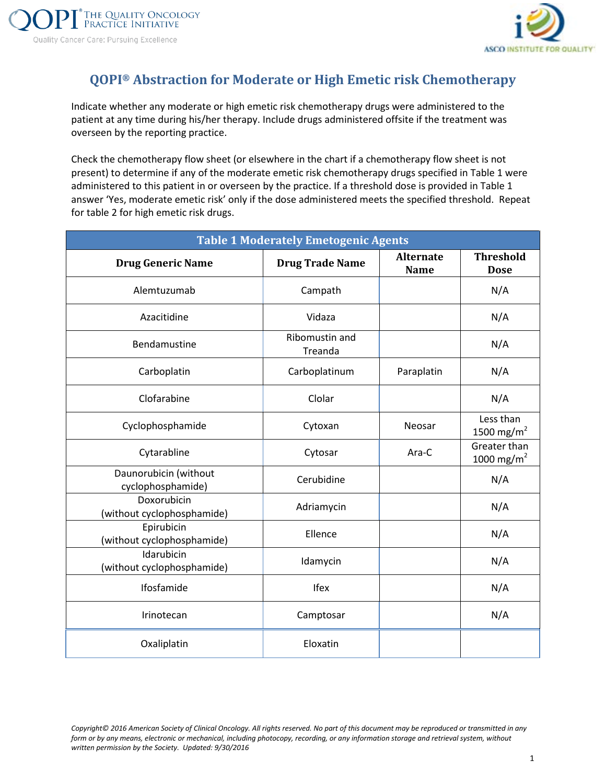

## **QOPI® Abstraction for Moderate or High Emetic risk Chemotherapy**

Indicate whether any moderate or high emetic risk chemotherapy drugs were administered to the patient at any time during his/her therapy. Include drugs administered offsite if the treatment was overseen by the reporting practice.

Check the chemotherapy flow sheet (or elsewhere in the chart if a chemotherapy flow sheet is not present) to determine if any of the moderate emetic risk chemotherapy drugs specified in Table 1 were administered to this patient in or overseen by the practice. If a threshold dose is provided in Table 1 answer 'Yes, moderate emetic risk' only if the dose administered meets the specified threshold. Repeat for table 2 for high emetic risk drugs.

| <b>Table 1 Moderately Emetogenic Agents</b> |                           |                                 |                                        |  |  |  |
|---------------------------------------------|---------------------------|---------------------------------|----------------------------------------|--|--|--|
| <b>Drug Generic Name</b>                    | <b>Drug Trade Name</b>    | <b>Alternate</b><br><b>Name</b> | <b>Threshold</b><br><b>Dose</b>        |  |  |  |
| Alemtuzumab                                 | Campath                   |                                 | N/A                                    |  |  |  |
| Azacitidine                                 | Vidaza                    |                                 | N/A                                    |  |  |  |
| Bendamustine                                | Ribomustin and<br>Treanda |                                 | N/A                                    |  |  |  |
| Carboplatin                                 | Carboplatinum             | Paraplatin                      | N/A                                    |  |  |  |
| Clofarabine                                 | Clolar                    |                                 | N/A                                    |  |  |  |
| Cyclophosphamide                            | Cytoxan                   | Neosar                          | Less than<br>1500 mg/m <sup>2</sup>    |  |  |  |
| Cytarabline                                 | Cytosar                   | Ara-C                           | Greater than<br>1000 mg/m <sup>2</sup> |  |  |  |
| Daunorubicin (without<br>cyclophosphamide)  | Cerubidine                |                                 | N/A                                    |  |  |  |
| Doxorubicin<br>(without cyclophosphamide)   | Adriamycin                |                                 | N/A                                    |  |  |  |
| Epirubicin<br>(without cyclophosphamide)    | Ellence                   |                                 | N/A                                    |  |  |  |
| Idarubicin<br>(without cyclophosphamide)    | Idamycin                  |                                 | N/A                                    |  |  |  |
| Ifosfamide                                  | Ifex                      |                                 | N/A                                    |  |  |  |
| Irinotecan                                  | Camptosar                 |                                 | N/A                                    |  |  |  |
| Oxaliplatin                                 | Eloxatin                  |                                 |                                        |  |  |  |

*Copyright© 2016 American Society of Clinical Oncology. All rights reserved. No part of this document may be reproduced or transmitted in any form or by any means, electronic or mechanical, including photocopy, recording, or any information storage and retrieval system, without written permission by the Society. Updated: 9/30/2016* 1 **1**